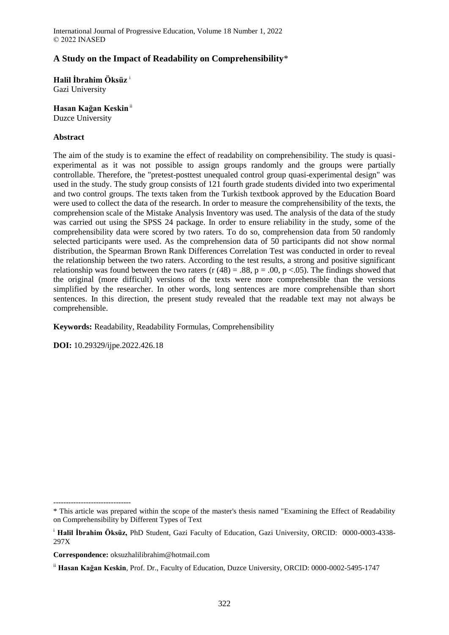# **A Study on the Impact of Readability on Comprehensibility**\*

**Halil İbrahim Öksüz** <sup>i</sup>

Gazi University

**Hasan Kağan Keskin**ii

Duzce University

### **Abstract**

The aim of the study is to examine the effect of readability on comprehensibility. The study is quasiexperimental as it was not possible to assign groups randomly and the groups were partially controllable. Therefore, the "pretest-posttest unequaled control group quasi-experimental design" was used in the study. The study group consists of 121 fourth grade students divided into two experimental and two control groups. The texts taken from the Turkish textbook approved by the Education Board were used to collect the data of the research. In order to measure the comprehensibility of the texts, the comprehension scale of the Mistake Analysis Inventory was used. The analysis of the data of the study was carried out using the SPSS 24 package. In order to ensure reliability in the study, some of the comprehensibility data were scored by two raters. To do so, comprehension data from 50 randomly selected participants were used. As the comprehension data of 50 participants did not show normal distribution, the Spearman Brown Rank Differences Correlation Test was conducted in order to reveal the relationship between the two raters. According to the test results, a strong and positive significant relationship was found between the two raters (r  $(48) = .88$ , p = .00, p <.05). The findings showed that the original (more difficult) versions of the texts were more comprehensible than the versions simplified by the researcher. In other words, long sentences are more comprehensible than short sentences. In this direction, the present study revealed that the readable text may not always be comprehensible.

**Keywords:** Readability, Readability Formulas, Comprehensibility

**DOI:** 10.29329/ijpe.2022.426.18

-------------------------------

**Correspondence:** oksuzhalilibrahim@hotmail.com

<sup>\*</sup> This article was prepared within the scope of the master's thesis named "Examining the Effect of Readability on Comprehensibility by Different Types of Text

<sup>i</sup> **Halil İbrahim Öksüz,** PhD Student, Gazi Faculty of Education, Gazi University, ORCID: 0000-0003-4338- 297X

ii **Hasan Kağan Keskin**, Prof. Dr., Faculty of Education, Duzce University, ORCID: 0000-0002-5495-1747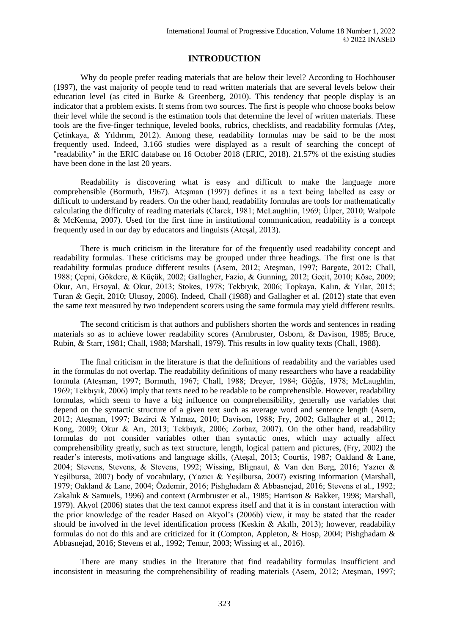## **INTRODUCTION**

Why do people prefer reading materials that are below their level? According to Hochhouser (1997), the vast majority of people tend to read written materials that are several levels below their education level (as cited in Burke & Greenberg, 2010). This tendency that people display is an indicator that a problem exists. It stems from two sources. The first is people who choose books below their level while the second is the estimation tools that determine the level of written materials. These tools are the five-finger technique, leveled books, rubrics, checklists, and readability formulas (Ateş, Çetinkaya, & Yıldırım, 2012). Among these, readability formulas may be said to be the most frequently used. Indeed, 3.166 studies were displayed as a result of searching the concept of "readability" in the ERIC database on 16 October 2018 (ERIC, 2018). 21.57% of the existing studies have been done in the last 20 years.

Readability is discovering what is easy and difficult to make the language more comprehensible (Bormuth, 1967). Ateşman (1997) defines it as a text being labelled as easy or difficult to understand by readers. On the other hand, readability formulas are tools for mathematically calculating the difficulty of reading materials (Clarck, 1981; McLaughlin, 1969; Ülper, 2010; Walpole & McKenna, 2007). Used for the first time in institutional communication, readability is a concept frequently used in our day by educators and linguists (Ateşal, 2013).

There is much criticism in the literature for of the frequently used readability concept and readability formulas. These criticisms may be grouped under three headings. The first one is that readability formulas produce different results (Asem, 2012; Ateşman, 1997; Bargate, 2012; Chall, 1988; Çepni, Gökdere, & Küçük, 2002; Gallagher, Fazio, & Gunning, 2012; Geçit, 2010; Köse, 2009; Okur, Arı, Ersoyal, & Okur, 2013; Stokes, 1978; Tekbıyık, 2006; Topkaya, Kalın, & Yılar, 2015; Turan & Geçit, 2010; Ulusoy, 2006). Indeed, Chall (1988) and Gallagher et al. (2012) state that even the same text measured by two independent scorers using the same formula may yield different results.

The second criticism is that authors and publishers shorten the words and sentences in reading materials so as to achieve lower readability scores (Armbruster, Osborn, & Davison, 1985; Bruce, Rubin, & Starr, 1981; Chall, 1988; Marshall, 1979). This results in low quality texts (Chall, 1988).

The final criticism in the literature is that the definitions of readability and the variables used in the formulas do not overlap. The readability definitions of many researchers who have a readability formula (Ateşman, 1997; Bormuth, 1967; Chall, 1988; Dreyer, 1984; Göğüş, 1978; McLaughlin, 1969; Tekbıyık, 2006) imply that texts need to be readable to be comprehensible. However, readability formulas, which seem to have a big influence on comprehensibility, generally use variables that depend on the syntactic structure of a given text such as average word and sentence length (Asem, 2012; Ateşman, 1997; Bezirci & Yılmaz, 2010; Davison, 1988; Fry, 2002; Gallagher et al., 2012; Kong, 2009; Okur & Arı, 2013; Tekbıyık, 2006; Zorbaz, 2007). On the other hand, readability formulas do not consider variables other than syntactic ones, which may actually affect comprehensibility greatly, such as text structure, length, logical pattern and pictures, (Fry, 2002) the reader's interests, motivations and language skills, (Ateşal, 2013; Courtis, 1987; Oakland & Lane, 2004; Stevens, Stevens, & Stevens, 1992; Wissing, Blignaut, & Van den Berg, 2016; Yazıcı & Yeşilbursa, 2007) body of vocabulary, (Yazıcı & Yeşilbursa, 2007) existing information (Marshall, 1979; Oakland & Lane, 2004; Özdemir, 2016; Pishghadam & Abbasnejad, 2016; Stevens et al., 1992; Zakaluk & Samuels, 1996) and context (Armbruster et al., 1985; Harrison & Bakker, 1998; Marshall, 1979). Akyol (2006) states that the text cannot express itself and that it is in constant interaction with the prior knowledge of the reader Based on Akyol's (2006b) view, it may be stated that the reader should be involved in the level identification process (Keskin & Akıllı, 2013); however, readability formulas do not do this and are criticized for it (Compton, Appleton, & Hosp, 2004; Pishghadam & Abbasnejad, 2016; Stevens et al., 1992; Temur, 2003; Wissing et al., 2016).

There are many studies in the literature that find readability formulas insufficient and inconsistent in measuring the comprehensibility of reading materials (Asem, 2012; Ateşman, 1997;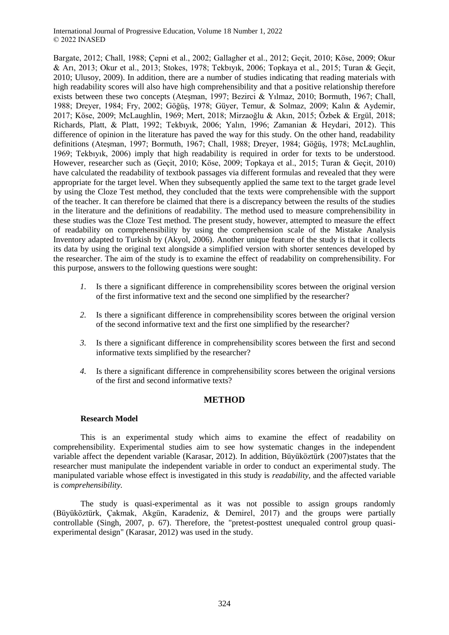Bargate, 2012; Chall, 1988; Çepni et al., 2002; Gallagher et al., 2012; Geçit, 2010; Köse, 2009; Okur & Arı, 2013; Okur et al., 2013; Stokes, 1978; Tekbıyık, 2006; Topkaya et al., 2015; Turan & Geçit, 2010; Ulusoy, 2009). In addition, there are a number of studies indicating that reading materials with high readability scores will also have high comprehensibility and that a positive relationship therefore exists between these two concepts (Ateşman, 1997; Bezirci & Yılmaz, 2010; Bormuth, 1967; Chall, 1988; Dreyer, 1984; Fry, 2002; Göğüş, 1978; Güyer, Temur, & Solmaz, 2009; Kalın & Aydemir, 2017; Köse, 2009; McLaughlin, 1969; Mert, 2018; Mirzaoğlu & Akın, 2015; Özbek & Ergül, 2018; Richards, Platt, & Platt, 1992; Tekbıyık, 2006; Yalın, 1996; Zamanian & Heydari, 2012). This difference of opinion in the literature has paved the way for this study. On the other hand, readability definitions (Ateşman, 1997; Bormuth, 1967; Chall, 1988; Dreyer, 1984; Göğüş, 1978; McLaughlin, 1969; Tekbıyık, 2006) imply that high readability is required in order for texts to be understood. However, researcher such as (Geçit, 2010; Köse, 2009; Topkaya et al., 2015; Turan & Geçit, 2010) have calculated the readability of textbook passages via different formulas and revealed that they were appropriate for the target level. When they subsequently applied the same text to the target grade level by using the Cloze Test method, they concluded that the texts were comprehensible with the support of the teacher. It can therefore be claimed that there is a discrepancy between the results of the studies in the literature and the definitions of readability. The method used to measure comprehensibility in these studies was the Cloze Test method. The present study, however, attempted to measure the effect of readability on comprehensibility by using the comprehension scale of the Mistake Analysis Inventory adapted to Turkish by (Akyol, 2006). Another unique feature of the study is that it collects its data by using the original text alongside a simplified version with shorter sentences developed by the researcher. The aim of the study is to examine the effect of readability on comprehensibility. For this purpose, answers to the following questions were sought:

- *1.* Is there a significant difference in comprehensibility scores between the original version of the first informative text and the second one simplified by the researcher?
- *2.* Is there a significant difference in comprehensibility scores between the original version of the second informative text and the first one simplified by the researcher?
- *3.* Is there a significant difference in comprehensibility scores between the first and second informative texts simplified by the researcher?
- *4.* Is there a significant difference in comprehensibility scores between the original versions of the first and second informative texts?

### **METHOD**

### **Research Model**

This is an experimental study which aims to examine the effect of readability on comprehensibility. Experimental studies aim to see how systematic changes in the independent variable affect the dependent variable (Karasar, 2012). In addition, Büyüköztürk (2007)states that the researcher must manipulate the independent variable in order to conduct an experimental study. The manipulated variable whose effect is investigated in this study is *readability,* and the affected variable is *comprehensibility.*

The study is quasi-experimental as it was not possible to assign groups randomly (Büyüköztürk, Çakmak, Akgün, Karadeniz, & Demirel, 2017) and the groups were partially controllable (Singh, 2007, p. 67). Therefore, the "pretest-posttest unequaled control group quasiexperimental design" (Karasar, 2012) was used in the study.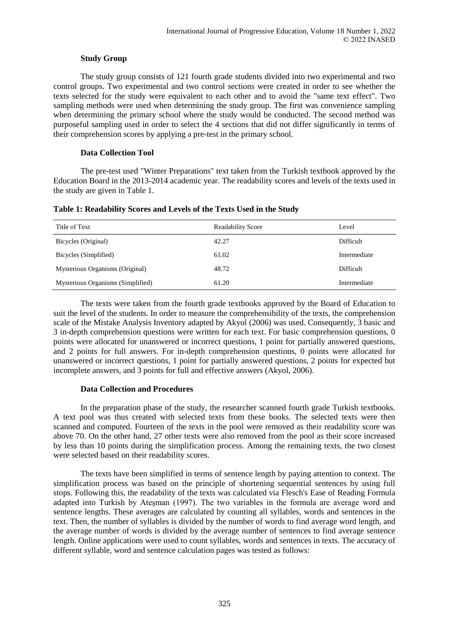### **Study Group**

The study group consists of 121 fourth grade students divided into two experimental and two control groups. Two experimental and two control sections were created in order to see whether the texts selected for the study were equivalent to each other and to avoid the "same text effect". Two sampling methods were used when determining the study group. The first was convenience sampling when determining the primary school where the study would be conducted. The second method was purposeful sampling used in order to select the 4 sections that did not differ significantly in terms of their comprehension scores by applying a pre-test in the primary school.

### **Data Collection Tool**

The pre-test used "Winter Preparations" text taken from the Turkish textbook approved by the Education Board in the 2013-2014 academic year. The readability scores and levels of the texts used in the study are given in Table 1.

| Title of Text                     | <b>Readability Score</b> | Level            |
|-----------------------------------|--------------------------|------------------|
| Bicycles (Original)               | 42.27                    | <b>Difficult</b> |
| Bicycles (Simplified)             | 61.02                    | Intermediate     |
| Mysterious Organisms (Original)   | 48.72                    | <b>Difficult</b> |
| Mysterious Organisms (Simplified) | 61.20                    | Intermediate     |

**Table 1: Readability Scores and Levels of the Texts Used in the Study**

The texts were taken from the fourth grade textbooks approved by the Board of Education to suit the level of the students. In order to measure the comprehensibility of the texts, the comprehension scale of the Mistake Analysis Inventory adapted by Akyol (2006) was used. Consequently, 3 basic and 3 in-depth comprehension questions were written for each text. For basic comprehension questions, 0 points were allocated for unanswered or incorrect questions, 1 point for partially answered questions, and 2 points for full answers. For in-depth comprehension questions, 0 points were allocated for unanswered or incorrect questions, 1 point for partially answered questions, 2 points for expected but incomplete answers, and 3 points for full and effective answers (Akyol, 2006).

### **Data Collection and Procedures**

In the preparation phase of the study, the researcher scanned fourth grade Turkish textbooks. A text pool was thus created with selected texts from these books. The selected texts were then scanned and computed. Fourteen of the texts in the pool were removed as their readability score was above 70. On the other hand, 27 other texts were also removed from the pool as their score increased by less than 10 points during the simplification process. Among the remaining texts, the two closest were selected based on their readability scores.

The texts have been simplified in terms of sentence length by paying attention to context. The simplification process was based on the principle of shortening sequential sentences by using full stops. Following this, the readability of the texts was calculated via Flesch's Ease of Reading Formula adapted into Turkish by Ateşman (1997). The two variables in the formula are average word and sentence lengths. These averages are calculated by counting all syllables, words and sentences in the text. Then, the number of syllables is divided by the number of words to find average word length, and the average number of words is divided by the average number of sentences to find average sentence length. Online applications were used to count syllables, words and sentences in texts. The accuracy of different syllable, word and sentence calculation pages was tested as follows: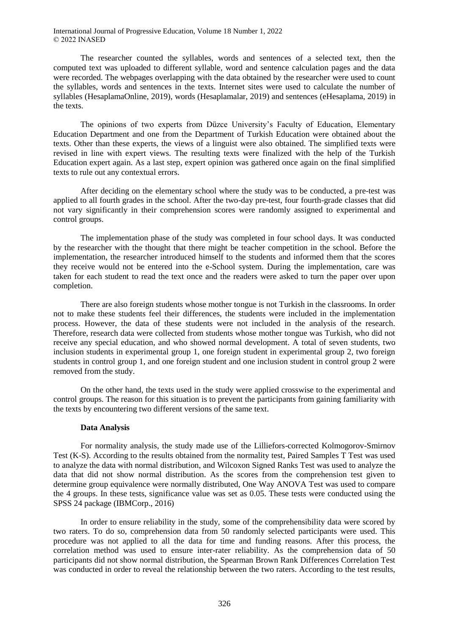The researcher counted the syllables, words and sentences of a selected text, then the computed text was uploaded to different syllable, word and sentence calculation pages and the data were recorded. The webpages overlapping with the data obtained by the researcher were used to count the syllables, words and sentences in the texts. Internet sites were used to calculate the number of syllables (HesaplamaOnline, 2019), words (Hesaplamalar, 2019) and sentences (eHesaplama, 2019) in the texts.

The opinions of two experts from Düzce University's Faculty of Education, Elementary Education Department and one from the Department of Turkish Education were obtained about the texts. Other than these experts, the views of a linguist were also obtained. The simplified texts were revised in line with expert views. The resulting texts were finalized with the help of the Turkish Education expert again. As a last step, expert opinion was gathered once again on the final simplified texts to rule out any contextual errors.

After deciding on the elementary school where the study was to be conducted, a pre-test was applied to all fourth grades in the school. After the two-day pre-test, four fourth-grade classes that did not vary significantly in their comprehension scores were randomly assigned to experimental and control groups.

The implementation phase of the study was completed in four school days. It was conducted by the researcher with the thought that there might be teacher competition in the school. Before the implementation, the researcher introduced himself to the students and informed them that the scores they receive would not be entered into the e-School system. During the implementation, care was taken for each student to read the text once and the readers were asked to turn the paper over upon completion.

There are also foreign students whose mother tongue is not Turkish in the classrooms. In order not to make these students feel their differences, the students were included in the implementation process. However, the data of these students were not included in the analysis of the research. Therefore, research data were collected from students whose mother tongue was Turkish, who did not receive any special education, and who showed normal development. A total of seven students, two inclusion students in experimental group 1, one foreign student in experimental group 2, two foreign students in control group 1, and one foreign student and one inclusion student in control group 2 were removed from the study.

On the other hand, the texts used in the study were applied crosswise to the experimental and control groups. The reason for this situation is to prevent the participants from gaining familiarity with the texts by encountering two different versions of the same text.

#### **Data Analysis**

For normality analysis, the study made use of the Lilliefors-corrected Kolmogorov-Smirnov Test (K-S). According to the results obtained from the normality test, Paired Samples T Test was used to analyze the data with normal distribution, and Wilcoxon Signed Ranks Test was used to analyze the data that did not show normal distribution. As the scores from the comprehension test given to determine group equivalence were normally distributed, One Way ANOVA Test was used to compare the 4 groups. In these tests, significance value was set as 0.05. These tests were conducted using the SPSS 24 package (IBMCorp., 2016)

In order to ensure reliability in the study, some of the comprehensibility data were scored by two raters. To do so, comprehension data from 50 randomly selected participants were used. This procedure was not applied to all the data for time and funding reasons. After this process, the correlation method was used to ensure inter-rater reliability. As the comprehension data of 50 participants did not show normal distribution, the Spearman Brown Rank Differences Correlation Test was conducted in order to reveal the relationship between the two raters. According to the test results,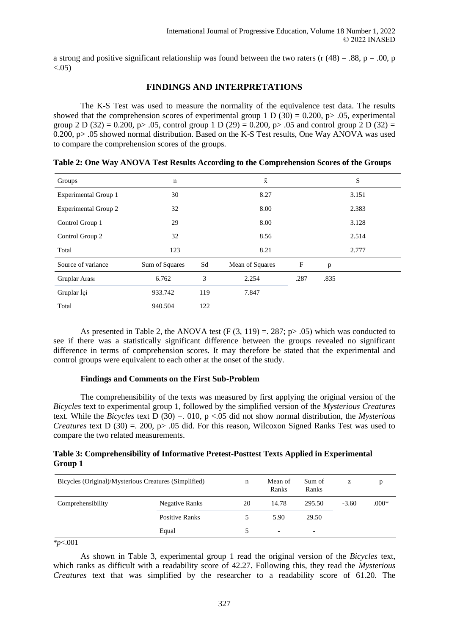a strong and positive significant relationship was found between the two raters (r  $(48) = .88$ , p = .00, p  $< 0.05$ )

## **FINDINGS AND INTERPRETATIONS**

The K-S Test was used to measure the normality of the equivalence test data. The results showed that the comprehension scores of experimental group 1 D (30) = 0.200, p > .05, experimental group 2 D (32) = 0.200, p> .05, control group 1 D (29) = 0.200, p> .05 and control group 2 D (32) = 0.200, p> .05 showed normal distribution. Based on the K-S Test results, One Way ANOVA was used to compare the comprehension scores of the groups.

| Groups                      | $\mathbf n$    |     | $\bar{x}$       |             | S            |       |  |
|-----------------------------|----------------|-----|-----------------|-------------|--------------|-------|--|
| Experimental Group 1        | 30             |     | 8.27            | 3.151       |              |       |  |
| <b>Experimental Group 2</b> | 32             |     | 8.00            |             | 2.383        |       |  |
| Control Group 1             | 29             |     | 8.00            | 3.128       |              |       |  |
| Control Group 2             | 32             |     | 8.56            |             | 2.514        |       |  |
| Total                       | 123            |     | 8.21            |             |              | 2.777 |  |
| Source of variance          | Sum of Squares | Sd  | Mean of Squares | $\mathbf F$ | $\mathbf{p}$ |       |  |
| Gruplar Arası               | 6.762          | 3   | 2.254           | .287        | .835         |       |  |
| Gruplar İçi                 | 933.742        | 119 | 7.847           |             |              |       |  |
| Total                       | 940.504        | 122 |                 |             |              |       |  |

**Table 2: One Way ANOVA Test Results According to the Comprehension Scores of the Groups**

As presented in Table 2, the ANOVA test (F  $(3, 119) = 0.287$ ; p >  $(0.05)$  which was conducted to see if there was a statistically significant difference between the groups revealed no significant difference in terms of comprehension scores. It may therefore be stated that the experimental and control groups were equivalent to each other at the onset of the study.

### **Findings and Comments on the First Sub-Problem**

The comprehensibility of the texts was measured by first applying the original version of the *Bicycles* text to experimental group 1, followed by the simplified version of the *Mysterious Creatures* text. While the *Bicycles* text D (30) =. 010, p <.05 did not show normal distribution, the *Mysterious Creatures* text D (30) = 200, p > .05 did. For this reason, Wilcoxon Signed Ranks Test was used to compare the two related measurements.

## **Table 3: Comprehensibility of Informative Pretest-Posttest Texts Applied in Experimental Group 1**

| Bicycles (Original)/Mysterious Creatures (Simplified) |                | n  | Mean of<br>Ranks         | Sum of<br>Ranks          | z       | D       |
|-------------------------------------------------------|----------------|----|--------------------------|--------------------------|---------|---------|
| Comprehensibility                                     | Negative Ranks | 20 | 14.78                    | 295.50                   | $-3.60$ | $.000*$ |
|                                                       | Positive Ranks | 5. | 5.90                     | 29.50                    |         |         |
|                                                       | Equal          |    | $\overline{\phantom{0}}$ | $\overline{\phantom{0}}$ |         |         |

\**p*<.001

As shown in Table 3, experimental group 1 read the original version of the *Bicycles* text, which ranks as difficult with a readability score of 42.27. Following this, they read the *Mysterious Creatures* text that was simplified by the researcher to a readability score of 61.20. The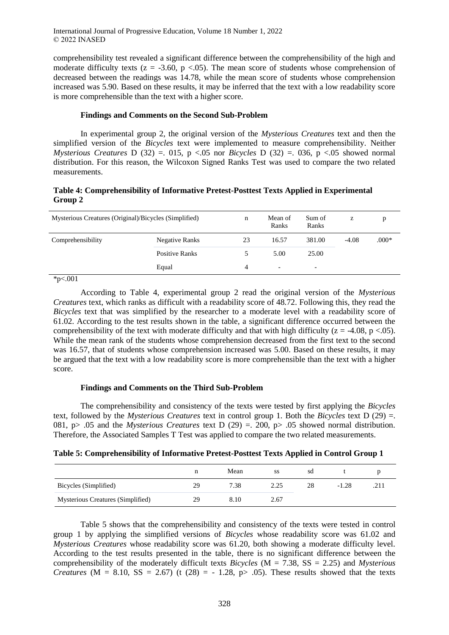comprehensibility test revealed a significant difference between the comprehensibility of the high and moderate difficulty texts ( $z = -3.60$ ,  $p < .05$ ). The mean score of students whose comprehension of decreased between the readings was 14.78, while the mean score of students whose comprehension increased was 5.90. Based on these results, it may be inferred that the text with a low readability score is more comprehensible than the text with a higher score.

#### **Findings and Comments on the Second Sub-Problem**

In experimental group 2, the original version of the *Mysterious Creatures* text and then the simplified version of the *Bicycles* text were implemented to measure comprehensibility. Neither *Mysterious Creatures* D (32) = 015, p < 05 nor *Bicycles* D (32) = 036, p < 05 showed normal distribution. For this reason, the Wilcoxon Signed Ranks Test was used to compare the two related measurements.

### **Table 4: Comprehensibility of Informative Pretest-Posttest Texts Applied in Experimental Group 2**

| Mysterious Creatures (Original)/Bicycles (Simplified) |                       | n  | Mean of<br>Ranks | Sum of<br>Ranks          | z       |         |
|-------------------------------------------------------|-----------------------|----|------------------|--------------------------|---------|---------|
| Comprehensibility                                     | Negative Ranks        | 23 | 16.57            | 381.00                   | $-4.08$ | $.000*$ |
|                                                       | <b>Positive Ranks</b> | 5. | 5.00             | 25.00                    |         |         |
|                                                       | Equal                 | 4  | -                | $\overline{\phantom{0}}$ |         |         |

 $*p<.001$ 

According to Table 4, experimental group 2 read the original version of the *Mysterious Creatures* text, which ranks as difficult with a readability score of 48.72. Following this, they read the *Bicycles* text that was simplified by the researcher to a moderate level with a readability score of 61.02. According to the test results shown in the table, a significant difference occurred between the comprehensibility of the text with moderate difficulty and that with high difficulty ( $z = -4.08$ , p <.05). While the mean rank of the students whose comprehension decreased from the first text to the second was 16.57, that of students whose comprehension increased was 5.00. Based on these results, it may be argued that the text with a low readability score is more comprehensible than the text with a higher score.

### **Findings and Comments on the Third Sub-Problem**

The comprehensibility and consistency of the texts were tested by first applying the *Bicycles* text, followed by the *Mysterious Creatures* text in control group 1. Both the *Bicycles* text D (29) =. 081, p> .05 and the *Mysterious Creatures* text D (29) =. 200, p> .05 showed normal distribution. Therefore, the Associated Samples T Test was applied to compare the two related measurements.

|  |  |  | Table 5: Comprehensibility of Informative Pretest-Posttest Texts Applied in Control Group 1 |
|--|--|--|---------------------------------------------------------------------------------------------|
|--|--|--|---------------------------------------------------------------------------------------------|

|                                   |    | Mean | SS   | sd |         |  |
|-----------------------------------|----|------|------|----|---------|--|
| Bicycles (Simplified)             | 29 | 7.38 | 2.25 | 28 | $-1.28$ |  |
| Mysterious Creatures (Simplified) | 29 | 8.10 | 2.67 |    |         |  |

Table 5 shows that the comprehensibility and consistency of the texts were tested in control group 1 by applying the simplified versions of *Bicycles* whose readability score was 61.02 and *Mysterious Creatures* whose readability score was 61.20, both showing a moderate difficulty level. According to the test results presented in the table, there is no significant difference between the comprehensibility of the moderately difficult texts *Bicycles* (M = 7.38, SS = 2.25) and *Mysterious Creatures* ( $M = 8.10$ ,  $SS = 2.67$ ) (t (28) = -1.28, p > .05). These results showed that the texts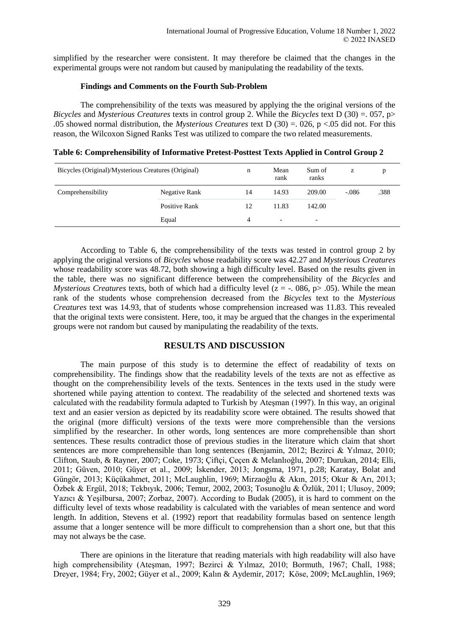simplified by the researcher were consistent. It may therefore be claimed that the changes in the experimental groups were not random but caused by manipulating the readability of the texts.

### **Findings and Comments on the Fourth Sub-Problem**

The comprehensibility of the texts was measured by applying the the original versions of the *Bicycles* and *Mysterious Creatures* texts in control group 2. While the *Bicycles* text D (30) =. 057, p> .05 showed normal distribution, the *Mysterious Creatures* text D (30) =. 026, p <.05 did not. For this reason, the Wilcoxon Signed Ranks Test was utilized to compare the two related measurements.

|  | Table 6: Comprehensibility of Informative Pretest-Posttest Texts Applied in Control Group 2 |  |  |
|--|---------------------------------------------------------------------------------------------|--|--|
|  |                                                                                             |  |  |
|  |                                                                                             |  |  |
|  |                                                                                             |  |  |

| Bicycles (Original)/Mysterious Creatures (Original) |               | n  | Mean<br>rank             | Sum of<br>ranks          | z       |      |
|-----------------------------------------------------|---------------|----|--------------------------|--------------------------|---------|------|
| Comprehensibility                                   | Negative Rank | 14 | 14.93                    | 209.00                   | $-.086$ | .388 |
|                                                     | Positive Rank | 12 | 11.83                    | 142.00                   |         |      |
|                                                     | Equal         | 4  | $\overline{\phantom{0}}$ | $\overline{\phantom{0}}$ |         |      |

According to Table 6, the comprehensibility of the texts was tested in control group 2 by applying the original versions of *Bicycles* whose readability score was 42.27 and *Mysterious Creatures* whose readability score was 48.72, both showing a high difficulty level. Based on the results given in the table, there was no significant difference between the comprehensibility of the *Bicycles* and *Mysterious Creatures* texts, both of which had a difficulty level ( $z = -0.086$ ,  $p > 0.05$ ). While the mean rank of the students whose comprehension decreased from the *Bicycles* text to the *Mysterious Creatures* text was 14.93, that of students whose comprehension increased was 11.83. This revealed that the original texts were consistent. Here, too, it may be argued that the changes in the experimental groups were not random but caused by manipulating the readability of the texts.

# **RESULTS AND DISCUSSION**

The main purpose of this study is to determine the effect of readability of texts on comprehensibility. The findings show that the readability levels of the texts are not as effective as thought on the comprehensibility levels of the texts. Sentences in the texts used in the study were shortened while paying attention to context. The readability of the selected and shortened texts was calculated with the readability formula adapted to Turkish by Ateşman (1997). In this way, an original text and an easier version as depicted by its readability score were obtained. The results showed that the original (more difficult) versions of the texts were more comprehensible than the versions simplified by the researcher. In other words, long sentences are more comprehensible than short sentences. These results contradict those of previous studies in the literature which claim that short sentences are more comprehensible than long sentences (Benjamin, 2012; Bezirci & Yılmaz, 2010; Clifton, Staub, & Rayner, 2007; Coke, 1973; Çiftçi, Çeçen & Melanlıoğlu, 2007; Durukan, 2014; Elli, 2011; Güven, 2010; Güyer et al., 2009; İskender, 2013; Jongsma, 1971, p.28; Karatay, Bolat and Güngör, 2013; Küçükahmet, 2011; McLaughlin, 1969; Mirzaoğlu & Akın, 2015; Okur & Arı, 2013; Özbek & Ergül, 2018; Tekbıyık, 2006; Temur, 2002, 2003; Tosunoğlu & Özlük, 2011; Ulusoy, 2009; Yazıcı & Yeşilbursa, 2007; Zorbaz, 2007). According to Budak (2005), it is hard to comment on the difficulty level of texts whose readability is calculated with the variables of mean sentence and word length. In addition, Stevens et al. (1992) report that readability formulas based on sentence length assume that a longer sentence will be more difficult to comprehension than a short one, but that this may not always be the case.

There are opinions in the literature that reading materials with high readability will also have high comprehensibility (Ateşman, 1997; Bezirci & Yılmaz, 2010; Bormuth, 1967; Chall, 1988; Dreyer, 1984; Fry, 2002; Güyer et al., 2009; Kalın & Aydemir, 2017; Köse, 2009; McLaughlin, 1969;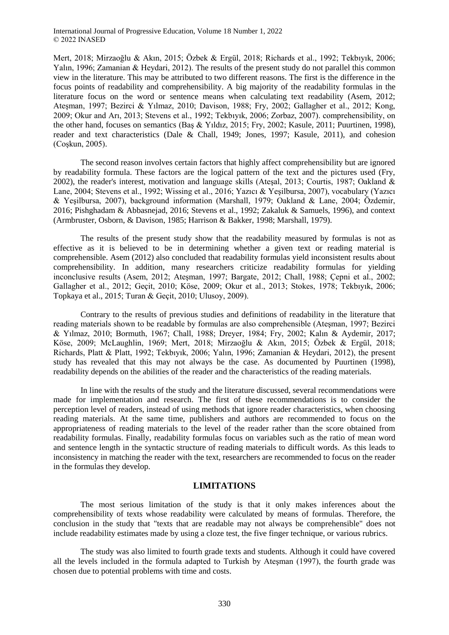Mert, 2018; Mirzaoğlu & Akın, 2015; Özbek & Ergül, 2018; Richards et al., 1992; Tekbıyık, 2006; Yalın, 1996; Zamanian & Heydari, 2012). The results of the present study do not parallel this common view in the literature. This may be attributed to two different reasons. The first is the difference in the focus points of readability and comprehensibility. A big majority of the readability formulas in the literature focus on the word or sentence means when calculating text readability (Asem, 2012; Ateşman, 1997; Bezirci & Yılmaz, 2010; Davison, 1988; Fry, 2002; Gallagher et al., 2012; Kong, 2009; Okur and Arı, 2013; Stevens et al., 1992; Tekbıyık, 2006; Zorbaz, 2007). comprehensibility, on the other hand, focuses on semantics (Baş & Yıldız, 2015; Fry, 2002; Kasule, 2011; Puurtinen, 1998), reader and text characteristics (Dale & Chall, 1949; Jones, 1997; Kasule, 2011), and cohesion (Coşkun, 2005).

The second reason involves certain factors that highly affect comprehensibility but are ignored by readability formula. These factors are the logical pattern of the text and the pictures used (Fry, 2002), the reader's interest, motivation and language skills (Ateşal, 2013; Courtis, 1987; Oakland & Lane, 2004; Stevens et al., 1992; Wissing et al., 2016; Yazıcı & Yeşilbursa, 2007), vocabulary (Yazıcı & Yeşilbursa, 2007), background information (Marshall, 1979; Oakland & Lane, 2004; Özdemir, 2016; Pishghadam & Abbasnejad, 2016; Stevens et al., 1992; Zakaluk & Samuels, 1996), and context (Armbruster, Osborn, & Davison, 1985; Harrison & Bakker, 1998; Marshall, 1979).

The results of the present study show that the readability measured by formulas is not as effective as it is believed to be in determining whether a given text or reading material is comprehensible. Asem (2012) also concluded that readability formulas yield inconsistent results about comprehensibility. In addition, many researchers criticize readability formulas for yielding inconclusive results (Asem, 2012; Ateşman, 1997; Bargate, 2012; Chall, 1988; Çepni et al., 2002; Gallagher et al., 2012; Geçit, 2010; Köse, 2009; Okur et al., 2013; Stokes, 1978; Tekbıyık, 2006; Topkaya et al., 2015; Turan & Geçit, 2010; Ulusoy, 2009).

Contrary to the results of previous studies and definitions of readability in the literature that reading materials shown to be readable by formulas are also comprehensible (Ateşman, 1997; Bezirci & Yılmaz, 2010; Bormuth, 1967; Chall, 1988; Dreyer, 1984; Fry, 2002; Kalın & Aydemir, 2017; Köse, 2009; McLaughlin, 1969; Mert, 2018; Mirzaoğlu & Akın, 2015; Özbek & Ergül, 2018; Richards, Platt & Platt, 1992; Tekbıyık, 2006; Yalın, 1996; Zamanian & Heydari, 2012), the present study has revealed that this may not always be the case. As documented by Puurtinen (1998), readability depends on the abilities of the reader and the characteristics of the reading materials.

In line with the results of the study and the literature discussed, several recommendations were made for implementation and research. The first of these recommendations is to consider the perception level of readers, instead of using methods that ignore reader characteristics, when choosing reading materials. At the same time, publishers and authors are recommended to focus on the appropriateness of reading materials to the level of the reader rather than the score obtained from readability formulas. Finally, readability formulas focus on variables such as the ratio of mean word and sentence length in the syntactic structure of reading materials to difficult words. As this leads to inconsistency in matching the reader with the text, researchers are recommended to focus on the reader in the formulas they develop.

### **LIMITATIONS**

The most serious limitation of the study is that it only makes inferences about the comprehensibility of texts whose readability were calculated by means of formulas. Therefore, the conclusion in the study that "texts that are readable may not always be comprehensible" does not include readability estimates made by using a cloze test, the five finger technique, or various rubrics.

The study was also limited to fourth grade texts and students. Although it could have covered all the levels included in the formula adapted to Turkish by Ateşman (1997), the fourth grade was chosen due to potential problems with time and costs.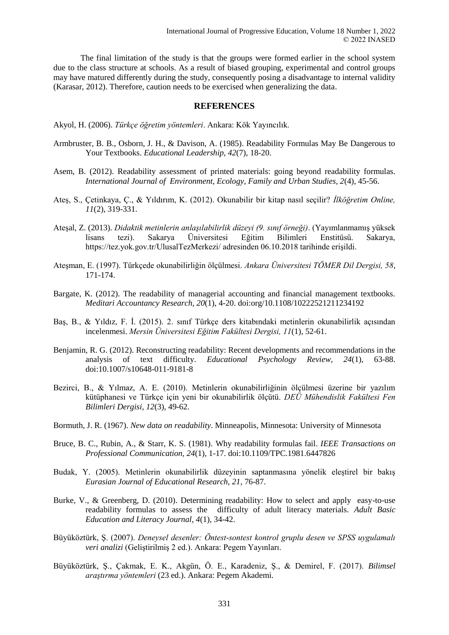The final limitation of the study is that the groups were formed earlier in the school system due to the class structure at schools. As a result of biased grouping, experimental and control groups may have matured differently during the study, consequently posing a disadvantage to internal validity (Karasar, 2012). Therefore, caution needs to be exercised when generalizing the data.

#### **REFERENCES**

Akyol, H. (2006). *Türkçe öğretim yöntemleri*. Ankara: Kök Yayıncılık.

- Armbruster, B. B., Osborn, J. H., & Davison, A. (1985). Readability Formulas May Be Dangerous to Your Textbooks. *Educational Leadership, 42*(7), 18-20.
- Asem, B. (2012). Readability assessment of printed materials: going beyond readability formulas. *International Journal of Environment, Ecology, Family and Urban Studies, 2*(4), 45-56.
- Ateş, S., Çetinkaya, Ç., & Yıldırım, K. (2012). Okunabilir bir kitap nasıl seçilir? *İlköğretim Online, 11*(2), 319-331.
- Ateşal, Z. (2013). *Didaktik metinlerin anlaşılabilirlik düzeyi (9. sınıf örneği)*. (Yayımlanmamış yüksek lisans tezi). Sakarya Üniversitesi Eğitim Bilimleri Enstitüsü. Sakarya, https://tez.yok.gov.tr/UlusalTezMerkezi/ adresinden 06.10.2018 tarihinde erişildi.
- Ateşman, E. (1997). Türkçede okunabilirliğin ölçülmesi. *Ankara Üniversitesi TÖMER Dil Dergisi, 58*, 171-174.
- Bargate, K. (2012). The readability of managerial accounting and financial management textbooks. *Meditari Accountancy Research, 20*(1), 4-20. doi:org/10.1108/10222521211234192
- Baş, B., & Yıldız, F. İ. (2015). 2. sınıf Türkçe ders kitabındaki metinlerin okunabilirlik açısından incelenmesi. *Mersin Üniversitesi Eğitim Fakültesi Dergisi, 11*(1), 52-61.
- Benjamin, R. G. (2012). Reconstructing readability: Recent developments and recommendations in the analysis of text difficulty. *Educational Psychology Review, 24*(1), 63-88. doi:10.1007/s10648-011-9181-8
- Bezirci, B., & Yılmaz, A. E. (2010). Metinlerin okunabilirliğinin ölçülmesi üzerine bir yazılım kütüphanesi ve Türkçe için yeni bir okunabilirlik ölçütü. *DEÜ Mühendislik Fakültesi Fen Bilimleri Dergisi, 12*(3), 49-62.
- Bormuth, J. R. (1967). *New data on readability*. Minneapolis, Minnesota: University of Minnesota
- Bruce, B. C., Rubin, A., & Starr, K. S. (1981). Why readability formulas fail. *IEEE Transactions on Professional Communication, 24*(1), 1-17. doi:10.1109/TPC.1981.6447826
- Budak, Y. (2005). Metinlerin okunabilirlik düzeyinin saptanmasına yönelik eleştirel bir bakış *Eurasian Journal of Educational Research, 21*, 76-87.
- Burke, V., & Greenberg, D. (2010). Determining readability: How to select and apply easy-to-use readability formulas to assess the difficulty of adult literacy materials. *Adult Basic Education and Literacy Journal, 4*(1), 34-42.
- Büyüköztürk, Ş. (2007). *Deneysel desenler: Öntest-sontest kontrol gruplu desen ve SPSS uygulamalı veri analizi* (Geliştirilmiş 2 ed.). Ankara: Pegem Yayınları.
- Büyüköztürk, Ş., Çakmak, E. K., Akgün, Ö. E., Karadeniz, Ş., & Demirel, F. (2017). *Bilimsel araştırma yöntemleri* (23 ed.). Ankara: Pegem Akademi.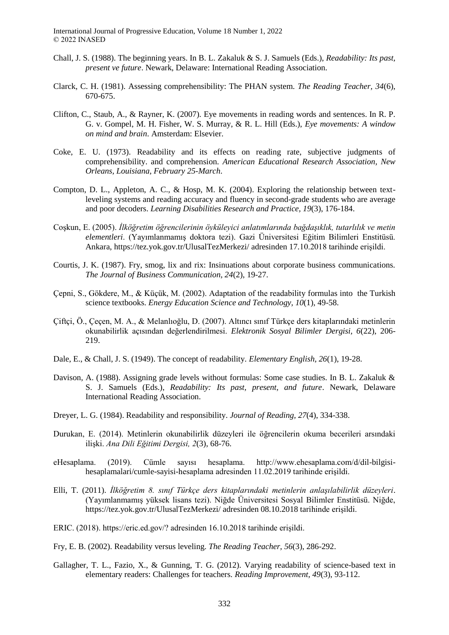- Chall, J. S. (1988). The beginning years. In B. L. Zakaluk & S. J. Samuels (Eds.), *Readability: Its past, present ve future*. Newark, Delaware: International Reading Association.
- Clarck, C. H. (1981). Assessing comprehensibility: The PHAN system. *The Reading Teacher, 34*(6), 670-675.
- Clifton, C., Staub, A., & Rayner, K. (2007). Eye movements in reading words and sentences. In R. P. G. v. Gompel, M. H. Fisher, W. S. Murray, & R. L. Hill (Eds.), *Eye movements: A window on mind and brain*. Amsterdam: Elsevier.
- Coke, E. U. (1973). Readability and its effects on reading rate, subjective judgments of comprehensibility. and comprehension. *American Educational Research Association, New Orleans, Louisiana, February 25-March*.
- Compton, D. L., Appleton, A. C., & Hosp, M. K. (2004). Exploring the relationship between textleveling systems and reading accuracy and fluency in second-grade students who are average and poor decoders. *Learning Disabilities Research and Practice, 19*(3), 176-184.
- Coşkun, E. (2005). *İlköğretim öğrencilerinin öyküleyici anlatımlarında bağdaşıklık, tutarlılık ve metin elementleri*. (Yayımlanmamış doktora tezi). Gazi Üniversitesi Eğitim Bilimleri Enstitüsü. Ankara, https://tez.yok.gov.tr/UlusalTezMerkezi/ adresinden 17.10.2018 tarihinde erişildi.
- Courtis, J. K. (1987). Fry, smog, lix and rix: Insinuations about corporate business communications. *The Journal of Business Communication, 24*(2), 19-27.
- Çepni, S., Gökdere, M., & Küçük, M. (2002). Adaptation of the readability formulas into the Turkish science textbooks. *Energy Education Science and Technology, 10*(1), 49-58.
- Çiftçi, Ö., Çeçen, M. A., & Melanlıoğlu, D. (2007). Altıncı sınıf Türkçe ders kitaplarındaki metinlerin okunabilirlik açısından değerlendirilmesi. *Elektronik Sosyal Bilimler Dergisi, 6*(22), 206- 219.
- Dale, E., & Chall, J. S. (1949). The concept of readability. *Elementary English, 26*(1), 19-28.
- Davison, A. (1988). Assigning grade levels without formulas: Some case studies. In B. L. Zakaluk & S. J. Samuels (Eds.), *Readability: Its past, present, and future*. Newark, Delaware International Reading Association.
- Dreyer, L. G. (1984). Readability and responsibility. *Journal of Reading, 27*(4), 334-338.
- Durukan, E. (2014). Metinlerin okunabilirlik düzeyleri ile öğrencilerin okuma becerileri arsındaki ilişki. *Ana Dili Eğitimi Dergisi, 2*(3), 68-76.
- eHesaplama. (2019). Cümle sayısı hesaplama. http://www.ehesaplama.com/d/dil-bilgisihesaplamalari/cumle-sayisi-hesaplama adresinden 11.02.2019 tarihinde erişildi.
- Elli, T. (2011). *İlköğretim 8. sınıf Türkçe ders kitaplarındaki metinlerin anlaşılabilirlik düzeyleri*. (Yayımlanmamış yüksek lisans tezi). Niğde Üniversitesi Sosyal Bilimler Enstitüsü. Niğde, https://tez.yok.gov.tr/UlusalTezMerkezi/ adresinden 08.10.2018 tarihinde erişildi.
- ERIC. (2018). https://eric.ed.gov/? adresinden 16.10.2018 tarihinde erişildi.
- Fry, E. B. (2002). Readability versus leveling. *The Reading Teacher, 56*(3), 286-292.
- Gallagher, T. L., Fazio, X., & Gunning, T. G. (2012). Varying readability of science-based text in elementary readers: Challenges for teachers. *Reading Improvement, 49*(3), 93-112.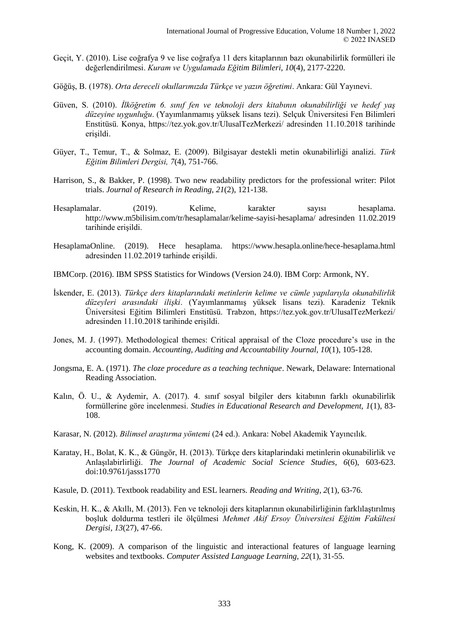- Geçit, Y. (2010). Lise coğrafya 9 ve lise coğrafya 11 ders kitaplarının bazı okunabilirlik formülleri ile değerlendirilmesi. *Kuram ve Uygulamada Eğitim Bilimleri, 10*(4), 2177-2220.
- Göğüş, B. (1978). *Orta dereceli okullarımızda Türkçe ve yazın öğretimi*. Ankara: Gül Yayınevi.
- Güven, S. (2010). *İlköğretim 6. sınıf fen ve teknoloji ders kitabının okunabilirliği ve hedef yaş düzeyine uygunluğu*. (Yayımlanmamış yüksek lisans tezi). Selçuk Üniversitesi Fen Bilimleri Enstitüsü. Konya, https://tez.yok.gov.tr/UlusalTezMerkezi/ adresinden 11.10.2018 tarihinde erişildi.
- Güyer, T., Temur, T., & Solmaz, E. (2009). Bilgisayar destekli metin okunabilirliği analizi. *Türk Eğitim Bilimleri Dergisi, 7*(4), 751-766.
- Harrison, S., & Bakker, P. (1998). Two new readability predictors for the professional writer: Pilot trials. *Journal of Research in Reading, 21*(2), 121-138.
- Hesaplamalar. (2019). Kelime, karakter sayısı hesaplama. http://www.m5bilisim.com/tr/hesaplamalar/kelime-sayisi-hesaplama/ adresinden 11.02.2019 tarihinde erişildi.
- HesaplamaOnline. (2019). Hece hesaplama. https://www.hesapla.online/hece-hesaplama.html adresinden 11.02.2019 tarhinde erişildi.
- IBMCorp. (2016). IBM SPSS Statistics for Windows (Version 24.0). IBM Corp: Armonk, NY.
- İskender, E. (2013). *Türkçe ders kitaplarındaki metinlerin kelime ve cümle yapılarıyla okunabilirlik düzeyleri arasındaki ilişki*. (Yayımlanmamış yüksek lisans tezi). Karadeniz Teknik Üniversitesi Eğitim Bilimleri Enstitüsü. Trabzon, https://tez.yok.gov.tr/UlusalTezMerkezi/ adresinden 11.10.2018 tarihinde erişildi.
- Jones, M. J. (1997). Methodological themes: Critical appraisal of the Cloze procedure's use in the accounting domain. *Accounting, Auditing and Accountability Journal, 10*(1), 105-128.
- Jongsma, E. A. (1971). *The cloze procedure as a teaching technique*. Newark, Delaware: International Reading Association.
- Kalın, Ö. U., & Aydemir, A. (2017). 4. sınıf sosyal bilgiler ders kitabının farklı okunabilirlik formüllerine göre incelenmesi. *Studies in Educational Research and Development, 1*(1), 83- 108.
- Karasar, N. (2012). *Bilimsel araştırma yöntemi* (24 ed.). Ankara: Nobel Akademik Yayıncılık.
- Karatay, H., Bolat, K. K., & Güngör, H. (2013). Türkçe ders kitaplarindaki metinlerin okunabilirlik ve Anlaşılabirlirliği. *The Journal of Academic Social Science Studies, 6*(6), 603-623. doi:10.9761/jasss1770
- Kasule, D. (2011). Textbook readability and ESL learners. *Reading and Writing, 2*(1), 63-76.
- Keskin, H. K., & Akıllı, M. (2013). Fen ve teknoloji ders kitaplarının okunabilirliğinin farklılaştırılmış boşluk doldurma testleri ile ölçülmesi *Mehmet Akif Ersoy Üniversitesi Eğitim Fakültesi Dergisi, 13*(27), 47-66.
- Kong, K. (2009). A comparison of the linguistic and interactional features of language learning websites and textbooks. *Computer Assisted Language Learning, 22*(1), 31-55.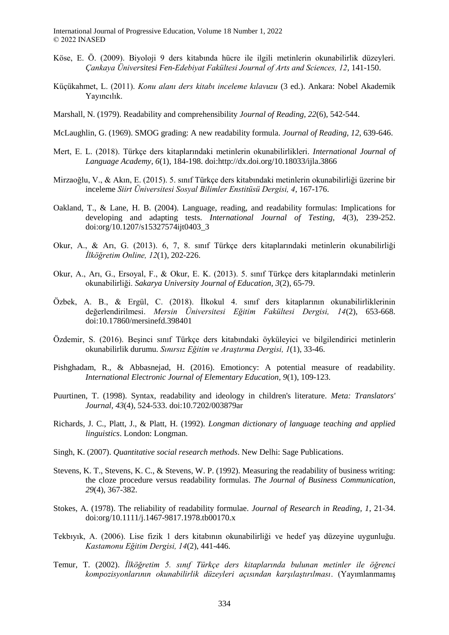- Köse, E. Ö. (2009). Biyoloji 9 ders kitabında hücre ile ilgili metinlerin okunabilirlik düzeyleri. *Çankaya Üniversitesi Fen-Edebiyat Fakültesi Journal of Arts and Sciences, 12*, 141-150.
- Küçükahmet, L. (2011). *Konu alanı ders kitabı inceleme kılavuzu* (3 ed.). Ankara: Nobel Akademik Yayıncılık.
- Marshall, N. (1979). Readability and comprehensibility *Journal of Reading, 22*(6), 542-544.
- McLaughlin, G. (1969). SMOG grading: A new readability formula. *Journal of Reading, 12*, 639-646.
- Mert, E. L. (2018). Türkçe ders kitaplarındaki metinlerin okunabilirlikleri. *International Journal of Language Academy, 6*(1), 184-198. doi:http://dx.doi.org/10.18033/ijla.3866
- Mirzaoğlu, V., & Akın, E. (2015). 5. sınıf Türkçe ders kitabındaki metinlerin okunabilirliği üzerine bir inceleme *Siirt Üniversitesi Sosyal Bilimler Enstitüsü Dergisi, 4*, 167-176.
- Oakland, T., & Lane, H. B. (2004). Language, reading, and readability formulas: Implications for developing and adapting tests. *International Journal of Testing, 4*(3), 239-252. doi:org/10.1207/s15327574ijt0403\_3
- Okur, A., & Arı, G. (2013). 6, 7, 8. sınıf Türkçe ders kitaplarındaki metinlerin okunabilirliği *İlköğretim Online, 12*(1), 202-226.
- Okur, A., Arı, G., Ersoyal, F., & Okur, E. K. (2013). 5. sınıf Türkçe ders kitaplarındaki metinlerin okunabilirliği. *Sakarya University Journal of Education, 3*(2), 65-79.
- Özbek, A. B., & Ergül, C. (2018). İlkokul 4. sınıf ders kitaplarının okunabilirliklerinin değerlendirilmesi. *Mersin Üniversitesi Eğitim Fakültesi Dergisi, 14*(2), 653-668. doi:10.17860/mersinefd.398401
- Özdemir, S. (2016). Beşinci sınıf Türkçe ders kitabındaki öyküleyici ve bilgilendirici metinlerin okunabilirlik durumu. *Sınırsız Eğitim ve Araştırma Dergisi, 1*(1), 33-46.
- Pishghadam, R., & Abbasnejad, H. (2016). Emotioncy: A potential measure of readability. *International Electronic Journal of Elementary Education, 9*(1), 109-123.
- Puurtinen, T. (1998). Syntax, readability and ideology in children's literature. *Meta: Translators' Journal, 43*(4), 524-533. doi:10.7202/003879ar
- Richards, J. C., Platt, J., & Platt, H. (1992). *Longman dictionary of language teaching and applied linguistics*. London: Longman.
- Singh, K. (2007). *Quantitative social research methods*. New Delhi: Sage Publications.
- Stevens, K. T., Stevens, K. C., & Stevens, W. P. (1992). Measuring the readability of business writing: the cloze procedure versus readability formulas. *The Journal of Business Communication, 29*(4), 367-382.
- Stokes, A. (1978). The reliability of readability formulae. *Journal of Research in Reading, 1*, 21-34. doi:org/10.1111/j.1467-9817.1978.tb00170.x
- Tekbıyık, A. (2006). Lise fizik 1 ders kitabının okunabilirliği ve hedef yaş düzeyine uygunluğu. *Kastamonu Eğitim Dergisi, 14*(2), 441-446.
- Temur, T. (2002). *İlköğretim 5. sınıf Türkçe ders kitaplarında bulunan metinler ile öğrenci kompozisyonlarının okunabilirlik düzeyleri açısından karşılaştırılması*. (Yayımlanmamış